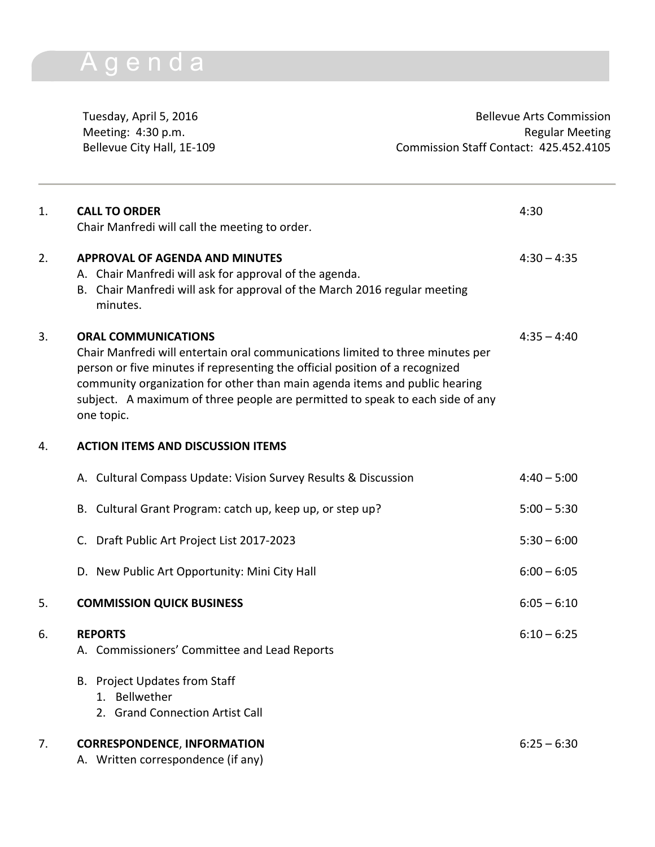## Agenda

Tuesday, April 5, 2016 **Bellevue Arts Commission** Meeting: 4:30 p.m. **Regular Meeting** Bellevue City Hall, 1E-109 Commission Staff Contact: 425.452.4105

| 1. | <b>CALL TO ORDER</b><br>Chair Manfredi will call the meeting to order.                                                                                                                                                                                                                                                                                                    | 4:30          |
|----|---------------------------------------------------------------------------------------------------------------------------------------------------------------------------------------------------------------------------------------------------------------------------------------------------------------------------------------------------------------------------|---------------|
| 2. | <b>APPROVAL OF AGENDA AND MINUTES</b><br>A. Chair Manfredi will ask for approval of the agenda.<br>B. Chair Manfredi will ask for approval of the March 2016 regular meeting<br>minutes.                                                                                                                                                                                  | $4:30 - 4:35$ |
| 3. | <b>ORAL COMMUNICATIONS</b><br>Chair Manfredi will entertain oral communications limited to three minutes per<br>person or five minutes if representing the official position of a recognized<br>community organization for other than main agenda items and public hearing<br>subject. A maximum of three people are permitted to speak to each side of any<br>one topic. | $4:35 - 4:40$ |
| 4. | <b>ACTION ITEMS AND DISCUSSION ITEMS</b>                                                                                                                                                                                                                                                                                                                                  |               |
|    | A. Cultural Compass Update: Vision Survey Results & Discussion                                                                                                                                                                                                                                                                                                            | $4:40 - 5:00$ |
|    | B. Cultural Grant Program: catch up, keep up, or step up?                                                                                                                                                                                                                                                                                                                 | $5:00 - 5:30$ |
|    | $C_{\cdot}$<br>Draft Public Art Project List 2017-2023                                                                                                                                                                                                                                                                                                                    | $5:30 - 6:00$ |
|    | D. New Public Art Opportunity: Mini City Hall                                                                                                                                                                                                                                                                                                                             | $6:00 - 6:05$ |
| 5. | <b>COMMISSION QUICK BUSINESS</b>                                                                                                                                                                                                                                                                                                                                          | $6:05 - 6:10$ |
| 6. | <b>REPORTS</b><br>A. Commissioners' Committee and Lead Reports                                                                                                                                                                                                                                                                                                            | $6:10 - 6:25$ |
|    | B. Project Updates from Staff<br>1. Bellwether<br>2. Grand Connection Artist Call                                                                                                                                                                                                                                                                                         |               |
| 7. | <b>CORRESPONDENCE, INFORMATION</b><br>A. Written correspondence (if any)                                                                                                                                                                                                                                                                                                  | $6:25 - 6:30$ |